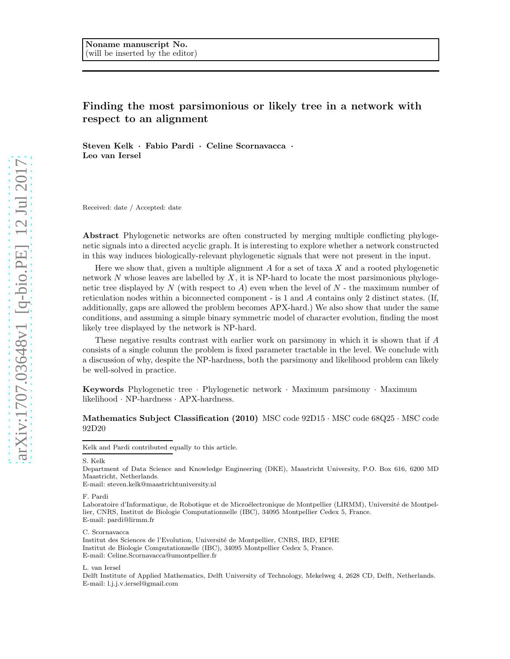# Finding the most parsimonious or likely tree in a network with respect to an alignment

Steven Kelk · Fabio Pardi · Celine Scornavacca · Leo van Iersel

Received: date / Accepted: date

Abstract Phylogenetic networks are often constructed by merging multiple conflicting phylogenetic signals into a directed acyclic graph. It is interesting to explore whether a network constructed in this way induces biologically-relevant phylogenetic signals that were not present in the input.

Here we show that, given a multiple alignment  $A$  for a set of taxa  $X$  and a rooted phylogenetic network  $N$  whose leaves are labelled by  $X$ , it is NP-hard to locate the most parsimonious phylogenetic tree displayed by  $N$  (with respect to  $A$ ) even when the level of  $N$  - the maximum number of reticulation nodes within a biconnected component - is 1 and A contains only 2 distinct states. (If, additionally, gaps are allowed the problem becomes APX-hard.) We also show that under the same conditions, and assuming a simple binary symmetric model of character evolution, finding the most likely tree displayed by the network is NP-hard.

These negative results contrast with earlier work on parsimony in which it is shown that if A consists of a single column the problem is fixed parameter tractable in the level. We conclude with a discussion of why, despite the NP-hardness, both the parsimony and likelihood problem can likely be well-solved in practice.

Keywords Phylogenetic tree · Phylogenetic network · Maximum parsimony · Maximum likelihood · NP-hardness · APX-hardness.

## Mathematics Subject Classification (2010) MSC code 92D15 · MSC code 68Q25 · MSC code 92D20

S. Kelk

Department of Data Science and Knowledge Engineering (DKE), Maastricht University, P.O. Box 616, 6200 MD Maastricht, Netherlands.

E-mail: steven.kelk@maastrichtuniversity.nl

F. Pardi

Laboratoire d'Informatique, de Robotique et de Microélectronique de Montpellier (LIRMM), Université de Montpellier, CNRS, Institut de Biologie Computationnelle (IBC), 34095 Montpellier Cedex 5, France. E-mail: pardi@lirmm.fr

C. Scornavacca

Institut des Sciences de l'Evolution, Université de Montpellier, CNRS, IRD, EPHE Institut de Biologie Computationnelle (IBC), 34095 Montpellier Cedex 5, France. E-mail: Celine.Scornavacca@umontpellier.fr

L. van Iersel

Delft Institute of Applied Mathematics, Delft University of Technology, Mekelweg 4, 2628 CD, Delft, Netherlands. E-mail: l.j.j.v.iersel@gmail.com

Kelk and Pardi contributed equally to this article.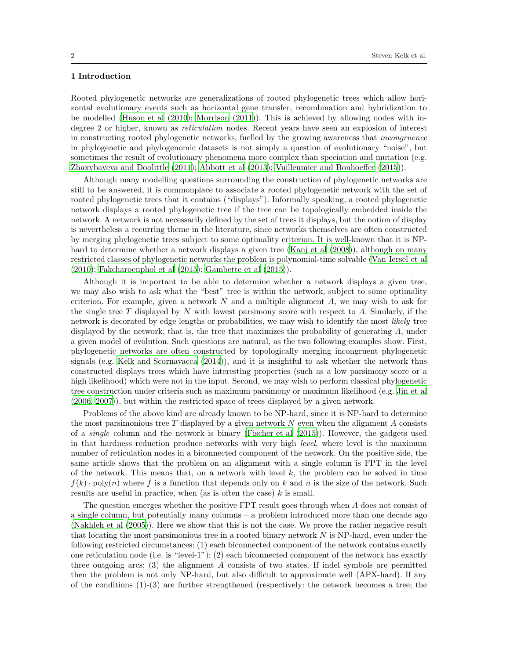# 1 Introduction

Rooted phylogenetic networks are generalizations of rooted phylogenetic trees which allow horizontal evolutionary events such as horizontal gene transfer, recombination and hybridization to be modelled [\(Huson et al \(2010\)](#page-12-0); [Morrison \(2011](#page-12-1))). This is achieved by allowing nodes with indegree 2 or higher, known as reticulation nodes. Recent years have seen an explosion of interest in constructing rooted phylogenetic networks, fuelled by the growing awareness that incongruence in phylogenetic and phylogenomic datasets is not simply a question of evolutionary "noise", but sometimes the result of evolutionary phenomena more complex than speciation and mutation (e.g. [Zhaxybayeva and Doolittle \(2011\)](#page-12-2); [Abbott et al \(2013\)](#page-11-0); Vuilleumier [and Bonhoeffer \(2015\)](#page-12-3)).

Although many modelling questions surrounding the construction of phylogenetic networks are still to be answered, it is commonplace to associate a rooted phylogenetic network with the set of rooted phylogenetic trees that it contains ("displays"). Informally speaking, a rooted phylogenetic network displays a rooted phylogenetic tree if the tree can be topologically embedded inside the network. A network is not necessarily defined by the set of trees it displays, but the notion of display is nevertheless a recurring theme in the literature, since networks themselves are often constructed by merging phylogenetic trees subject to some optimality criterion. It is well-known that it is NPhard to determine whether a network displays a given tree [\(Kanj et](#page-12-4) al [\(2008\)](#page-12-4)), although on many restricted classes of phylogenetic networks the problem is polynomial-time solvable [\(Van Iersel et al](#page-12-5) [\(2010\)](#page-12-5); [Fakcharoenphol et al \(2015\)](#page-11-1); [Gambette et al \(2015\)](#page-11-2)).

Although it is important to be able to determine whether a network displays a given tree, we may also wish to ask what the "best" tree is within the network, subject to some optimality criterion. For example, given a network  $N$  and a multiple alignment  $A$ , we may wish to ask for the single tree  $T$  displayed by  $N$  with lowest parsimony score with respect to  $A$ . Similarly, if the network is decorated by edge lengths or probabilities, we may wish to identify the most likely tree displayed by the network, that is, the tree that maximizes the probability of generating A, under a given model of evolution. Such questions are natural, as the two following examples show. First, phylogenetic networks are often constructed by topologically merging incongruent phylogenetic signals (e.g. [Kelk and Scornavacca \(2014\)](#page-12-6)), and it is insightful to ask whether the network thus constructed displays trees which have interesting properties (such as a low parsimony score or a high likelihood) which were not in the input. Second, we may wish to perform classical phylogenetic tree construction under criteria such as maximum parsimony or maximum likelihood (e.g. [Jin et al](#page-12-7) [\(2006,](#page-12-7) [2007\)](#page-12-8)), but within the restricted space of trees displayed by a given network.

Problems of the above kind are already known to be NP-hard, since it is NP-hard to determine the most parsimonious tree T displayed by a given network  $N$  even when the alignment  $A$  consists of a single column and the network is binary [\(Fischer et al \(2015](#page-11-3))). However, the gadgets used in that hardness reduction produce networks with very high level, where level is the maximum number of reticulation nodes in a biconnected component of the network. On the positive side, the same article shows that the problem on an alignment with a single column is FPT in the level of the network. This means that, on a network with level  $k$ , the problem can be solved in time  $f(k) \cdot \text{poly}(n)$  where f is a function that depends only on k and n is the size of the network. Such results are useful in practice, when (as is often the case)  $k$  is small.

The question emerges whether the positive FPT result goes through when A does not consist of a single column, but potentially many columns – a problem introduced more than one decade ago [\(Nakhleh et al \(2005\)](#page-12-9)). Here we show that this is not the case. We prove the rather negative result that locating the most parsimonious tree in a rooted binary network  $N$  is NP-hard, even under the following restricted circumstances: (1) each biconnected component of the network contains exactly one reticulation node (i.e. is "level-1"); (2) each biconnected component of the network has exactly three outgoing arcs; (3) the alignment  $A$  consists of two states. If indel symbols are permitted then the problem is not only NP-hard, but also difficult to approximate well (APX-hard). If any of the conditions  $(1)-(3)$  are further strengthened (respectively: the network becomes a tree; the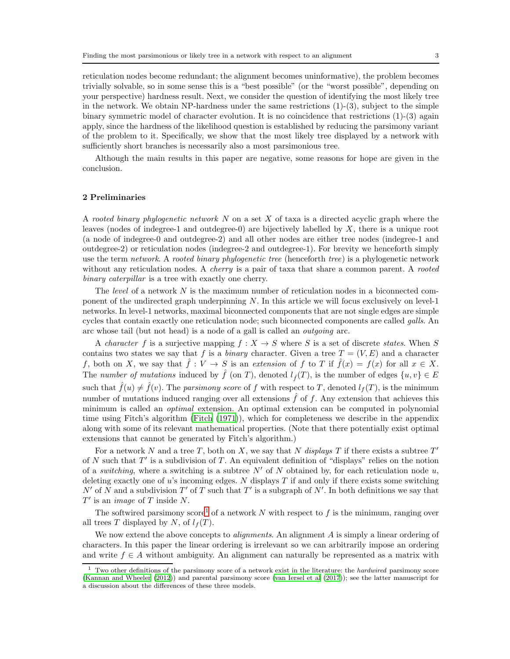reticulation nodes become redundant; the alignment becomes uninformative), the problem becomes trivially solvable, so in some sense this is a "best possible" (or the "worst possible", depending on your perspective) hardness result. Next, we consider the question of identifying the most likely tree in the network. We obtain NP-hardness under the same restrictions  $(1)-(3)$ , subject to the simple binary symmetric model of character evolution. It is no coincidence that restrictions (1)-(3) again apply, since the hardness of the likelihood question is established by reducing the parsimony variant of the problem to it. Specifically, we show that the most likely tree displayed by a network with sufficiently short branches is necessarily also a most parsimonious tree.

Although the main results in this paper are negative, some reasons for hope are given in the conclusion.

### 2 Preliminaries

A rooted binary phylogenetic network  $N$  on a set  $X$  of taxa is a directed acyclic graph where the leaves (nodes of indegree-1 and outdegree-0) are bijectively labelled by X, there is a unique root (a node of indegree-0 and outdegree-2) and all other nodes are either tree nodes (indegree-1 and outdegree-2) or reticulation nodes (indegree-2 and outdegree-1). For brevity we henceforth simply use the term network. A rooted binary phylogenetic tree (henceforth tree) is a phylogenetic network without any reticulation nodes. A *cherry* is a pair of taxa that share a common parent. A *rooted* binary caterpillar is a tree with exactly one cherry.

The *level* of a network N is the maximum number of reticulation nodes in a biconnected component of the undirected graph underpinning N. In this article we will focus exclusively on level-1 networks. In level-1 networks, maximal biconnected components that are not single edges are simple cycles that contain exactly one reticulation node; such biconnected components are called galls. An arc whose tail (but not head) is a node of a gall is called an outgoing arc.

A *character* f is a surjective mapping  $f : X \to S$  where S is a set of discrete *states*. When S contains two states we say that f is a binary character. Given a tree  $T = (V, E)$  and a character f, both on X, we say that  $\hat{f}: V \to S$  is an extension of f to T if  $\hat{f}(x) = f(x)$  for all  $x \in X$ . The number of mutations induced by  $\hat{f}$  (on T), denoted  $l_{\hat{f}}(T)$ , is the number of edges  $\{u, v\} \in E$ such that  $\hat{f}(u) \neq \hat{f}(v)$ . The parsimony score of f with respect to T, denoted  $l_f(T)$ , is the minimum number of mutations induced ranging over all extensions  $\hat{f}$  of f. Any extension that achieves this minimum is called an optimal extension. An optimal extension can be computed in polynomial time using Fitch's algorithm [\(Fitch \(1971\)](#page-11-4)), which for completeness we describe in the appendix along with some of its relevant mathematical properties. (Note that there potentially exist optimal extensions that cannot be generated by Fitch's algorithm.)

For a network N and a tree T, both on X, we say that N displays T if there exists a subtree  $T'$ of  $N$  such that  $T'$  is a subdivision of  $T$ . An equivalent definition of "displays" relies on the notion of a *switching*, where a switching is a subtree  $N'$  of N obtained by, for each reticulation node u, deleting exactly one of u's incoming edges. N displays  $T$  if and only if there exists some switching  $N'$  of N and a subdivision  $T'$  of T such that  $T'$  is a subgraph of N'. In both definitions we say that  $T'$  is an *image* of T inside N.

The softwired parsimony score<sup>[1](#page-2-0)</sup> of a network N with respect to f is the minimum, ranging over all trees T displayed by N, of  $l_f(T)$ .

We now extend the above concepts to *alignments*. An alignment A is simply a linear ordering of characters. In this paper the linear ordering is irrelevant so we can arbitrarily impose an ordering and write  $f \in A$  without ambiguity. An alignment can naturally be represented as a matrix with

<span id="page-2-0"></span> $1$  Two other definitions of the parsimony score of a network exist in the literature: the *hardwired* parsimony score [\(Kannan and Wheeler \(2012](#page-12-10))) and parental parsimony score [\(van Iersel et al \(2017](#page-12-11))); see the latter manuscript for a discussion about the differences of these three models.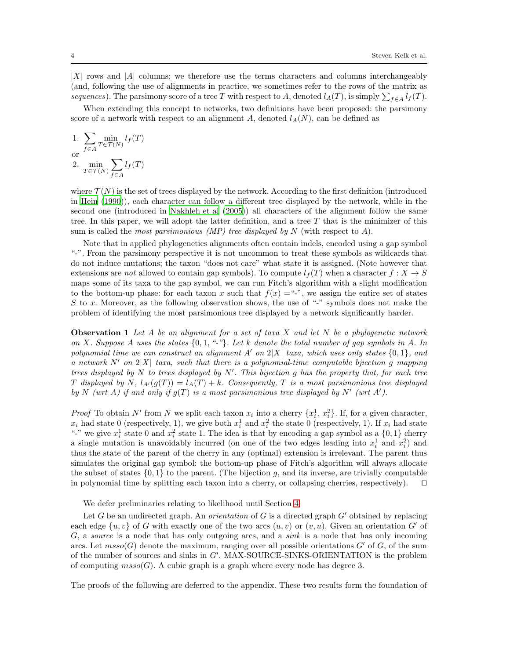$|X|$  rows and  $|A|$  columns; we therefore use the terms characters and columns interchangeably (and, following the use of alignments in practice, we sometimes refer to the rows of the matrix as sequences). The parsimony score of a tree T with respect to A, denoted  $l_A(T)$ , is simply  $\sum_{f\in A} l_f(T)$ .

When extending this concept to networks, two definitions have been proposed: the parsimony score of a network with respect to an alignment A, denoted  $l_A(N)$ , can be defined as

1. 
$$
\sum_{f \in A} \min_{T \in \mathcal{T}(N)} l_f(T)
$$
  
or  
2. 
$$
\min_{T \in \mathcal{T}(N)} \sum_{f \in A} l_f(T)
$$

where  $\mathcal{T}(N)$  is the set of trees displayed by the network. According to the first definition (introduced in [Hein \(1990\)](#page-11-5)), each character can follow a different tree displayed by the network, while in the second one (introduced in [Nakhleh et al \(2005\)](#page-12-9)) all characters of the alignment follow the same tree. In this paper, we will adopt the latter definition, and a tree  $T$  that is the minimizer of this sum is called the *most parsimonious* (MP) tree displayed by N (with respect to  $A$ ).

Note that in applied phylogenetics alignments often contain indels, encoded using a gap symbol "-". From the parsimony perspective it is not uncommon to treat these symbols as wildcards that do not induce mutations; the taxon "does not care" what state it is assigned. (Note however that extensions are not allowed to contain gap symbols). To compute  $l_f(T)$  when a character  $f: X \to S$ maps some of its taxa to the gap symbol, we can run Fitch's algorithm with a slight modification to the bottom-up phase: for each taxon x such that  $f(x) = -\cdot\cdot\cdot$ , we assign the entire set of states S to x. Moreover, as the following observation shows, the use of "-" symbols does not make the problem of identifying the most parsimonious tree displayed by a network significantly harder.

<span id="page-3-0"></span>**Observation 1** Let A be an alignment for a set of taxa X and let N be a phylogenetic network on X. Suppose A uses the states  $\{0, 1, "--"\}$ . Let k denote the total number of gap symbols in A. In polynomial time we can construct an alignment A' on  $2|X|$  taxa, which uses only states  $\{0, 1\}$ , and a network N' on  $2|X|$  taxa, such that there is a polynomial-time computable bjiection g mapping trees displayed by N to trees displayed by  $N'$ . This bijection g has the property that, for each tree T displayed by N,  $l_{A'}(g(T)) = l_A(T) + k$ . Consequently, T is a most parsimonious tree displayed by N (wrt A) if and only if  $g(T)$  is a most parsimonious tree displayed by N' (wrt A').

*Proof* To obtain N' from N we split each taxon  $x_i$  into a cherry  $\{x_i^1, x_i^2\}$ . If, for a given character,  $x_i$  had state 0 (respectively, 1), we give both  $x_i^1$  and  $x_i^2$  the state 0 (respectively, 1). If  $x_i$  had state "-" we give  $x_i^1$  state 0 and  $x_i^2$  state 1. The idea is that by encoding a gap symbol as a  $\{0,1\}$  cherry a single mutation is unavoidably incurred (on one of the two edges leading into  $x_i^1$  and  $x_i^2$ ) and thus the state of the parent of the cherry in any (optimal) extension is irrelevant. The parent thus simulates the original gap symbol: the bottom-up phase of Fitch's algorithm will always allocate the subset of states  $\{0,1\}$  to the parent. (The bijection g, and its inverse, are trivially computable in polynomial time by splitting each taxon into a cherry, or collapsing cherries, respectively). ⊓⊔

We defer preliminaries relating to likelihood until Section [4.](#page-7-0)

Let G be an undirected graph. An *orientation* of G is a directed graph  $G'$  obtained by replacing each edge  $\{u, v\}$  of G with exactly one of the two arcs  $(u, v)$  or  $(v, u)$ . Given an orientation G' of  $G$ , a source is a node that has only outgoing arcs, and a sink is a node that has only incoming arcs. Let  $m\text{sso}(G)$  denote the maximum, ranging over all possible orientations  $G'$  of  $G$ , of the sum of the number of sources and sinks in G′ . MAX-SOURCE-SINKS-ORIENTATION is the problem of computing  $msso(G)$ . A cubic graph is a graph where every node has degree 3.

The proofs of the following are deferred to the appendix. These two results form the foundation of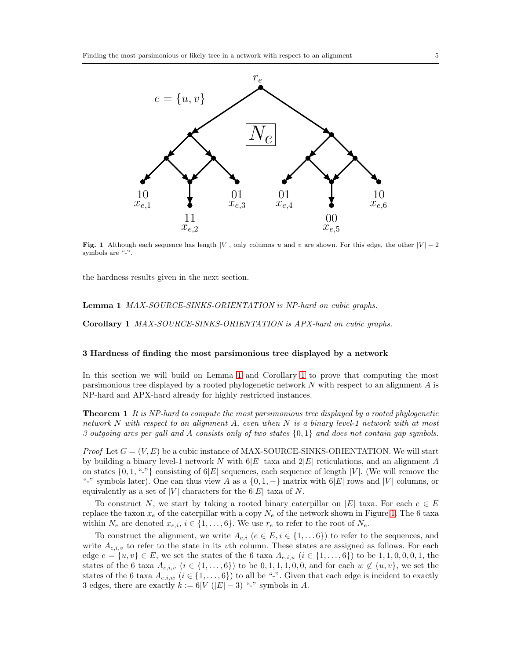

<span id="page-4-2"></span>Fig. 1 Although each sequence has length |V|, only columns u and v are shown. For this edge, the other  $|V| - 2$ symbols are "-".

<span id="page-4-0"></span>the hardness results given in the next section.

<span id="page-4-1"></span>Lemma 1 MAX-SOURCE-SINKS-ORIENTATION is NP-hard on cubic graphs.

Corollary 1 MAX-SOURCE-SINKS-ORIENTATION is APX-hard on cubic graphs.

#### 3 Hardness of finding the most parsimonious tree displayed by a network

In this section we will build on Lemma [1](#page-4-0) and Corollary [1](#page-4-1) to prove that computing the most parsimonious tree displayed by a rooted phylogenetic network N with respect to an alignment A is NP-hard and APX-hard already for highly restricted instances.

<span id="page-4-3"></span>Theorem 1 It is NP-hard to compute the most parsimonious tree displayed by a rooted phylogenetic network N with respect to an alignment A, even when N is a binary level-1 network with at most 3 outgoing arcs per gall and A consists only of two states  $\{0,1\}$  and does not contain gap symbols.

*Proof* Let  $G = (V, E)$  be a cubic instance of MAX-SOURCE-SINKS-ORIENTATION. We will start by building a binary level-1 network N with  $6|E|$  taxa and  $2|E|$  reticulations, and an alignment A on states  $\{0, 1, \dots \}$  consisting of  $6|E|$  sequences, each sequence of length |V|. (We will remove the "-" symbols later). One can thus view A as a  $\{0, 1, -\}$  matrix with  $6|E|$  rows and |V| columns, or equivalently as a set of |V| characters for the  $6|E|$  taxa of N.

To construct N, we start by taking a rooted binary caterpillar on |E| taxa. For each  $e \in E$ replace the taxon  $x_e$  of the caterpillar with a copy  $N_e$  of the network shown in Figure [1.](#page-4-2) The 6 taxa within  $N_e$  are denoted  $x_{e,i}$ ,  $i \in \{1, ..., 6\}$ . We use  $r_e$  to refer to the root of  $N_e$ .

To construct the alignment, we write  $A_{e,i}$   $(e \in E, i \in \{1, \dots 6\})$  to refer to the sequences, and write  $A_{e,i,v}$  to refer to the state in its vth column. These states are assigned as follows. For each edge  $e = \{u, v\} \in E$ , we set the states of the 6 taxa  $A_{e,i,u}$   $(i \in \{1, ..., 6\})$  to be 1, 1, 0, 0, 0, 1, the states of the 6 taxa  $A_{e,i,v}$   $(i \in \{1,\ldots,6\})$  to be  $0,1,1,1,0,0$ , and for each  $w \notin \{u,v\}$ , we set the states of the 6 taxa  $A_{e,i,w}$   $(i \in \{1,\ldots,6\})$  to all be "-". Given that each edge is incident to exactly 3 edges, there are exactly  $k := 6|V|(|E|-3)$  "-" symbols in A.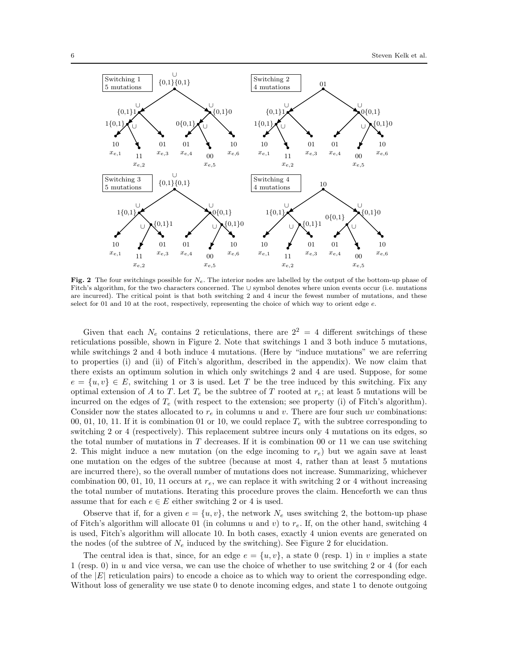

Fig. 2 The four switchings possible for  $N_e$ . The interior nodes are labelled by the output of the bottom-up phase of Fitch's algorithm, for the two characters concerned. The ∪ symbol denotes where union events occur (i.e. mutations are incurred). The critical point is that both switching 2 and 4 incur the fewest number of mutations, and these select for 01 and 10 at the root, respectively, representing the choice of which way to orient edge  $e$ .

Given that each  $N_e$  contains 2 reticulations, there are  $2^2 = 4$  different switchings of these reticulations possible, shown in Figure 2. Note that switchings 1 and 3 both induce 5 mutations, while switchings 2 and 4 both induce 4 mutations. (Here by "induce mutations" we are referring to properties (i) and (ii) of Fitch's algorithm, described in the appendix). We now claim that there exists an optimum solution in which only switchings 2 and 4 are used. Suppose, for some  $e = \{u, v\} \in E$ , switching 1 or 3 is used. Let T be the tree induced by this switching. Fix any optimal extension of A to T. Let  $T_e$  be the subtree of T rooted at  $r_e$ ; at least 5 mutations will be incurred on the edges of  $T_e$  (with respect to the extension; see property (i) of Fitch's algorithm). Consider now the states allocated to  $r_e$  in columns u and v. There are four such uv combinations: 00, 01, 10, 11. If it is combination 01 or 10, we could replace  $T_e$  with the subtree corresponding to switching 2 or 4 (respectively). This replacement subtree incurs only 4 mutations on its edges, so the total number of mutations in  $T$  decreases. If it is combination 00 or 11 we can use switching 2. This might induce a new mutation (on the edge incoming to  $r_e$ ) but we again save at least one mutation on the edges of the subtree (because at most 4, rather than at least 5 mutations are incurred there), so the overall number of mutations does not increase. Summarizing, whichever combination 00, 01, 10, 11 occurs at  $r_e$ , we can replace it with switching 2 or 4 without increasing the total number of mutations. Iterating this procedure proves the claim. Henceforth we can thus assume that for each  $e \in E$  either switching 2 or 4 is used.

Observe that if, for a given  $e = \{u, v\}$ , the network  $N_e$  uses switching 2, the bottom-up phase of Fitch's algorithm will allocate 01 (in columns u and v) to  $r_e$ . If, on the other hand, switching 4 is used, Fitch's algorithm will allocate 10. In both cases, exactly 4 union events are generated on the nodes (of the subtree of  $N_e$  induced by the switching). See Figure 2 for elucidation.

The central idea is that, since, for an edge  $e = \{u, v\}$ , a state 0 (resp. 1) in v implies a state 1 (resp. 0) in u and vice versa, we can use the choice of whether to use switching 2 or 4 (for each of the  $|E|$  reticulation pairs) to encode a choice as to which way to orient the corresponding edge. Without loss of generality we use state 0 to denote incoming edges, and state 1 to denote outgoing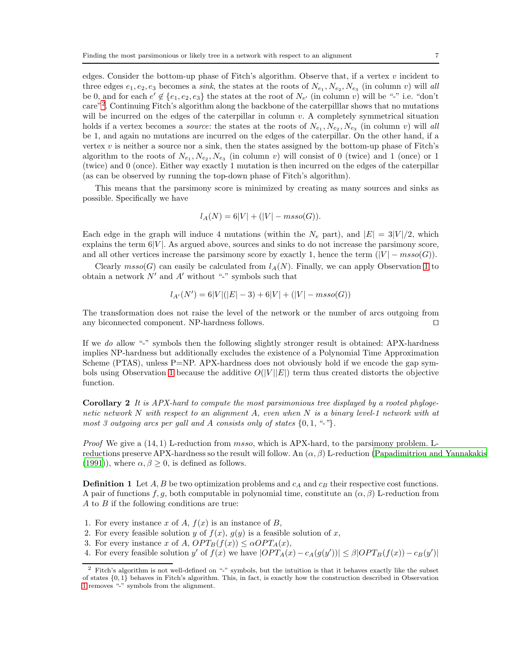edges. Consider the bottom-up phase of Fitch's algorithm. Observe that, if a vertex  $v$  incident to three edges  $e_1, e_2, e_3$  becomes a *sink*, the states at the roots of  $N_{e_1}, N_{e_2}, N_{e_3}$  (in column v) will all be 0, and for each  $e' \notin \{e_1, e_2, e_3\}$  the states at the root of  $N_{e'}$  (in column v) will be "-" i.e. "don't care"[2](#page-6-0) . Continuing Fitch's algorithm along the backbone of the caterpilllar shows that no mutations will be incurred on the edges of the caterpillar in column v. A completely symmetrical situation holds if a vertex becomes a *source*: the states at the roots of  $N_{e_1}, N_{e_2}, N_{e_3}$  (in column v) will all be 1, and again no mutations are incurred on the edges of the caterpillar. On the other hand, if a vertex  $v$  is neither a source nor a sink, then the states assigned by the bottom-up phase of Fitch's algorithm to the roots of  $N_{e_1}, N_{e_2}, N_{e_3}$  (in column v) will consist of 0 (twice) and 1 (once) or 1 (twice) and 0 (once). Either way exactly 1 mutation is then incurred on the edges of the caterpillar (as can be observed by running the top-down phase of Fitch's algorithm).

This means that the parsimony score is minimized by creating as many sources and sinks as possible. Specifically we have

$$
l_A(N) = 6|V| + (|V| - m\text{sso}(G)).
$$

Each edge in the graph will induce 4 mutations (within the  $N_e$  part), and  $|E| = 3|V|/2$ , which explains the term  $6|V|$ . As argued above, sources and sinks to do not increase the parsimony score, and all other vertices increase the parsimony score by exactly 1, hence the term  $(|V| - msso(G))$ .

Clearly  $m\text{sso}(G)$  can easily be calculated from  $l_A(N)$ . Finally, we can apply Observation [1](#page-3-0) to obtain a network  $N'$  and  $A'$  without "-" symbols such that

$$
l_{A'}(N') = 6|V|(|E|-3) + 6|V| + (|V| - m\text{sso}(G))
$$

The transformation does not raise the level of the network or the number of arcs outgoing from any biconnected component. NP-hardness follows. ⊓⊔

If we do allow "-" symbols then the following slightly stronger result is obtained: APX-hardness implies NP-hardness but additionally excludes the existence of a Polynomial Time Approximation Scheme (PTAS), unless P=NP. APX-hardness does not obviously hold if we encode the gap sym-bols using Observation [1](#page-3-0) because the additive  $O(|V||E|)$  term thus created distorts the objective function.

Corollary 2 It is APX-hard to compute the most parsimonious tree displayed by a rooted phylogenetic network N with respect to an alignment A, even when N is a binary level-1 network with at most 3 outgoing arcs per gall and A consists only of states  $\{0, 1, "--"\}$ .

*Proof* We give a  $(14, 1)$  L-reduction from *msso*, which is APX-hard, to the parsimony problem. Lreductions preserve APX-hardness so the result will follow. An  $(\alpha, \beta)$  L-reduction [\(Papadimitriou and Yannakakis](#page-12-12) [\(1991](#page-12-12))), where  $\alpha, \beta \geq 0$ , is defined as follows.

**Definition 1** Let A, B be two optimization problems and  $c_A$  and  $c_B$  their respective cost functions. A pair of functions f, g, both computable in polynomial time, constitute an  $(\alpha, \beta)$  L-reduction from A to B if the following conditions are true:

- 1. For every instance x of A,  $f(x)$  is an instance of B,
- 2. For every feasible solution y of  $f(x)$ ,  $g(y)$  is a feasible solution of x,
- 3. For every instance x of A,  $OPT_B(f(x)) \leq \alpha OPT_A(x)$ ,
- 4. For every feasible solution y' of  $f(x)$  we have  $|OPT_A(x) c_A(g(y'))| \leq \beta |OPT_B(f(x)) c_B(y')|$

<span id="page-6-0"></span><sup>&</sup>lt;sup>2</sup> Fitch's algorithm is not well-defined on "-" symbols, but the intuition is that it behaves exactly like the subset of states {0, 1} behaves in Fitch's algorithm. This, in fact, is exactly how the construction described in Observation [1](#page-3-0) removes "-" symbols from the alignment.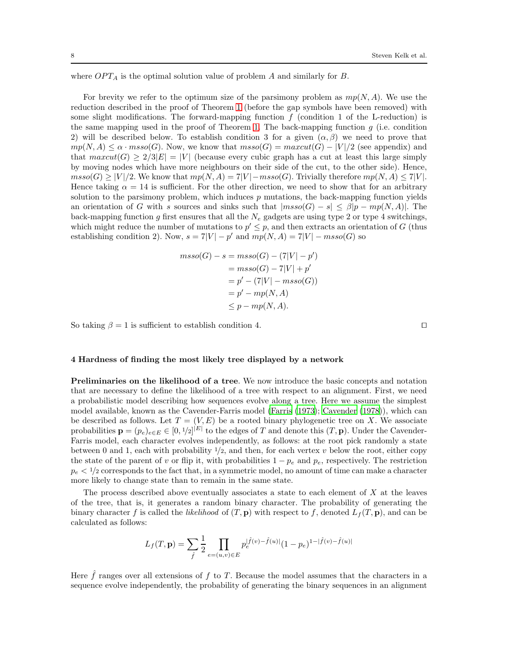where  $OPT_A$  is the optimal solution value of problem A and similarly for B.

For brevity we refer to the optimum size of the parsimony problem as  $mp(N, A)$ . We use the reduction described in the proof of Theorem [1](#page-4-3) (before the gap symbols have been removed) with some slight modifications. The forward-mapping function  $f$  (condition 1 of the L-reduction) is the same mapping used in the proof of Theorem [1.](#page-4-3) The back-mapping function  $q$  (i.e. condition 2) will be described below. To establish condition 3 for a given  $(\alpha, \beta)$  we need to prove that  $mp(N, A) \le \alpha \cdot msso(G)$ . Now, we know that  $msso(G) = maxcut(G) - |V|/2$  (see appendix) and that  $maxcut(G) \geq 2/3|E| = |V|$  (because every cubic graph has a cut at least this large simply by moving nodes which have more neighbours on their side of the cut, to the other side). Hence,  $msso(G) \geq |V|/2$ . We know that  $mp(N, A) = 7|V| - msso(G)$ . Trivially therefore  $mp(N, A) \leq 7|V|$ . Hence taking  $\alpha = 14$  is sufficient. For the other direction, we need to show that for an arbitrary solution to the parsimony problem, which induces  $p$  mutations, the back-mapping function yields an orientation of G with s sources and sinks such that  $|msso(G) - s| \leq \beta|p - mp(N, A)|$ . The back-mapping function g first ensures that all the  $N_e$  gadgets are using type 2 or type 4 switchings, which might reduce the number of mutations to  $p' \leq p$ , and then extracts an orientation of G (thus establishing condition 2). Now,  $s = 7|V| - p'$  and  $mp(N, A) = 7|V| - msso(G)$  so

$$
mso(G) - s = mso(G) - (7|V| - p')
$$
  
= 
$$
mso(G) - 7|V| + p'
$$
  
= 
$$
p' - (7|V| - mso(G))
$$
  
= 
$$
p' - mp(N, A)
$$
  

$$
\leq p - mp(N, A).
$$

So taking  $\beta = 1$  is sufficient to establish condition 4. □

#### <span id="page-7-0"></span>4 Hardness of finding the most likely tree displayed by a network

Preliminaries on the likelihood of a tree. We now introduce the basic concepts and notation that are necessary to define the likelihood of a tree with respect to an alignment. First, we need a probabilistic model describing how sequences evolve along a tree. Here we assume the simplest model available, known as the Cavender-Farris model [\(Farris \(1973\)](#page-11-6); [Cavender \(1978\)](#page-11-7)), which can be described as follows. Let  $T = (V, E)$  be a rooted binary phylogenetic tree on X. We associate probabilities  $\mathbf{p} = (p_e)_{e \in E} \in [0, 1/2]^{|E|}$  to the edges of T and denote this  $(T, \mathbf{p})$ . Under the Cavender-Farris model, each character evolves independently, as follows: at the root pick randomly a state between 0 and 1, each with probability  $1/2$ , and then, for each vertex v below the root, either copy the state of the parent of v or flip it, with probabilities  $1 - p_e$  and  $p_e$ , respectively. The restriction  $p_e < 1/2$  corresponds to the fact that, in a symmetric model, no amount of time can make a character more likely to change state than to remain in the same state.

The process described above eventually associates a state to each element of  $X$  at the leaves of the tree, that is, it generates a random binary character. The probability of generating the binary character f is called the likelihood of  $(T, \mathbf{p})$  with respect to f, denoted  $L_f(T, \mathbf{p})$ , and can be calculated as follows:

$$
L_f(T,\mathbf{p})=\sum_{\hat{f}}\frac{1}{2}\prod_{e=(u,v)\in E}p_e^{|\hat{f}(v)-\hat{f}(u)|}(1-p_e)^{1-|\hat{f}(v)-\hat{f}(u)|}
$$

Here  $\hat{f}$  ranges over all extensions of  $f$  to  $T$ . Because the model assumes that the characters in a sequence evolve independently, the probability of generating the binary sequences in an alignment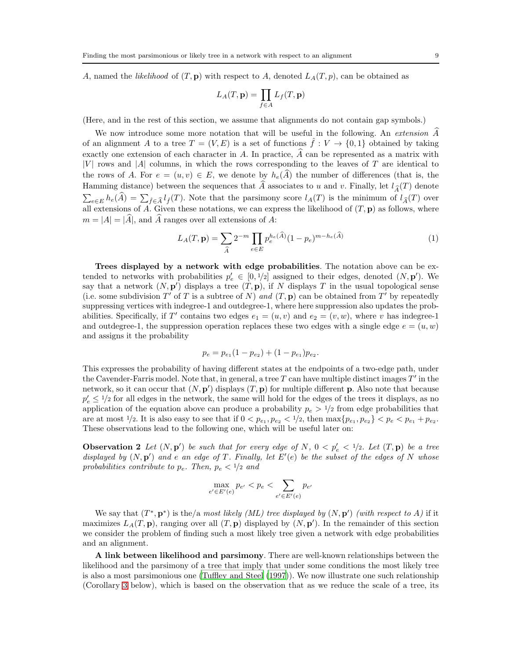A, named the likelihood of  $(T, \mathbf{p})$  with respect to A, denoted  $L_A(T, p)$ , can be obtained as

$$
L_A(T, \mathbf{p}) = \prod_{f \in A} L_f(T, \mathbf{p})
$$

(Here, and in the rest of this section, we assume that alignments do not contain gap symbols.)

We now introduce some more notation that will be useful in the following. An extension A of an alignment A to a tree  $T = (V, E)$  is a set of functions  $\hat{f}: V \to \{0, 1\}$  obtained by taking exactly one extension of each character in  $A$ . In practice,  $\overline{A}$  can be represented as a matrix with  $|V|$  rows and  $|A|$  columns, in which the rows corresponding to the leaves of T are identical to the rows of A. For  $e = (u, v) \in E$ , we denote by  $h_e(\widehat{A})$  the number of differences (that is, the Hamming distance) between the sequences that  $\widehat{A}$  associates to u and v. Finally, let  $l_{\widehat{A}}(T)$  denote  $\sum_{e\in E} h_e(\widehat{A}) = \sum_{\widehat{f}\in \widehat{A}} l_{\widehat{f}}(T)$ . Note that the parsimony score  $l_A(T)$  is the minimum of  $l_{\widehat{A}}(T)$  over all extensions of  $\overline{A}$ . Given these notations, we can express the likelihood of  $(T, \mathbf{p})$  as follows, where  $m = |A| = |\hat{A}|$ , and  $\hat{A}$  ranges over all extensions of A:

<span id="page-8-0"></span>
$$
L_A(T, \mathbf{p}) = \sum_{\hat{A}} 2^{-m} \prod_{e \in E} p_e^{h_e(\hat{A})} (1 - p_e)^{m - h_e(\hat{A})}
$$
(1)

Trees displayed by a network with edge probabilities. The notation above can be extended to networks with probabilities  $p'_e \in [0, 1/2]$  assigned to their edges, denoted  $(N, \mathbf{p}')$ . We say that a network  $(N, p')$  displays a tree  $(T, p)$ , if N displays T in the usual topological sense (i.e. some subdivision T' of T is a subtree of N) and  $(T, \mathbf{p})$  can be obtained from T' by repeatedly suppressing vertices with indegree-1 and outdegree-1, where here suppression also updates the probabilities. Specifically, if T' contains two edges  $e_1 = (u, v)$  and  $e_2 = (v, w)$ , where v has indegree-1 and outdegree-1, the suppression operation replaces these two edges with a single edge  $e = (u, w)$ and assigns it the probability

$$
p_e = p_{e_1}(1 - p_{e_2}) + (1 - p_{e_1})p_{e_2}.
$$

This expresses the probability of having different states at the endpoints of a two-edge path, under the Cavender-Farris model. Note that, in general, a tree  $T$  can have multiple distinct images  $T'$  in the network, so it can occur that  $(N, \mathbf{p}')$  displays  $(T, \mathbf{p})$  for multiple different **p**. Also note that because  $p'_e \leq 1/2$  for all edges in the network, the same will hold for the edges of the trees it displays, as no application of the equation above can produce a probability  $p_e > 1/2$  from edge probabilities that are at most  $1/2$ . It is also easy to see that if  $0 < p_{e_1}, p_{e_2} < 1/2$ , then  $\max\{p_{e_1}, p_{e_2}\} < p_e < p_{e_1} + p_{e_2}$ . These observations lead to the following one, which will be useful later on:

<span id="page-8-1"></span>**Observation 2** Let  $(N, \mathbf{p}')$  be such that for every edge of N,  $0 < p'_e < 1/2$ . Let  $(T, \mathbf{p})$  be a tree displayed by  $(N, p')$  and e an edge of T. Finally, let  $E'(e)$  be the subset of the edges of N whose probabilities contribute to  $p_e$ . Then,  $p_e < 1/2$  and

$$
\max_{e'\in E'(e)} p_{e'}
$$

We say that  $(T^*, \mathbf{p}^*)$  is the/a most likely (ML) tree displayed by  $(N, \mathbf{p}')$  (with respect to A) if it maximizes  $L_A(T, \mathbf{p})$ , ranging over all  $(T, \mathbf{p})$  displayed by  $(N, \mathbf{p}')$ . In the remainder of this section we consider the problem of finding such a most likely tree given a network with edge probabilities and an alignment.

A link between likelihood and parsimony. There are well-known relationships between the likelihood and the parsimony of a tree that imply that under some conditions the most likely tree is also a most parsimonious one [\(Tuffley and Steel \(1997](#page-12-13))). We now illustrate one such relationship (Corollary [3](#page-9-0) below), which is based on the observation that as we reduce the scale of a tree, its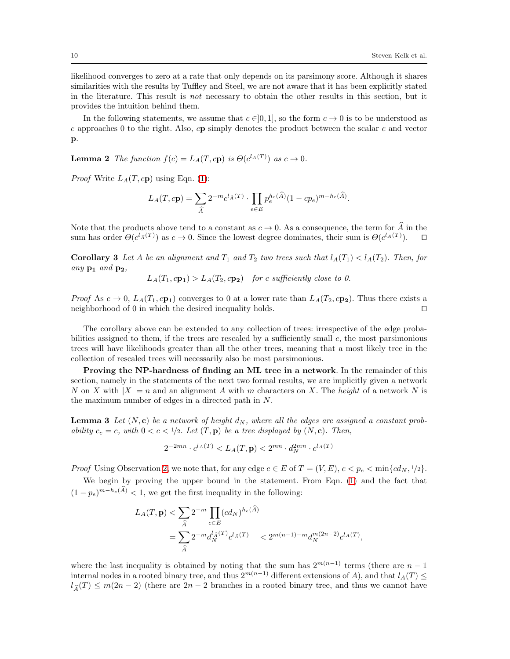likelihood converges to zero at a rate that only depends on its parsimony score. Although it shares similarities with the results by Tuffley and Steel, we are not aware that it has been explicitly stated in the literature. This result is not necessary to obtain the other results in this section, but it provides the intuition behind them.

In the following statements, we assume that  $c \in [0, 1]$ , so the form  $c \to 0$  is to be understood as  $c$  approaches 0 to the right. Also,  $c\mathbf{p}$  simply denotes the product between the scalar  $c$  and vector p.

**Lemma 2** The function  $f(c) = L_A(T, c\mathbf{p})$  is  $\Theta(c^{l_A(T)})$  as  $c \to 0$ .

*Proof* Write  $L_A(T, c\mathbf{p})$  using Eqn. [\(1\)](#page-8-0):

$$
L_A(T, c\mathbf{p}) = \sum_{\hat{A}} 2^{-m} c^{l_{\hat{A}}(T)} \cdot \prod_{e \in E} p_e^{h_e(\hat{A})} (1 - c p_e)^{m - h_e(\hat{A})}.
$$

Note that the products above tend to a constant as  $c \to 0$ . As a consequence, the term for  $\widehat{A}$  in the sum has order  $\Theta(c^{l_A(T)})$  as  $c \to 0$ . Since the lowest degree dominates, their sum is  $\Theta(c^{l_A(T)})$ . □

<span id="page-9-0"></span>**Corollary 3** Let A be an alignment and  $T_1$  and  $T_2$  two trees such that  $l_A(T_1) < l_A(T_2)$ . Then, for any  $\mathbf{p}_1$  and  $\mathbf{p}_2$ ,

$$
L_A(T_1, c\mathbf{p_1}) > L_A(T_2, c\mathbf{p_2})
$$
 for c sufficiently close to 0.

*Proof* As  $c \to 0$ ,  $L_A(T_1, c\mathbf{p}_1)$  converges to 0 at a lower rate than  $L_A(T_2, c\mathbf{p}_2)$ . Thus there exists a neighborhood of 0 in which the desired inequality holds. ⊓⊔

The corollary above can be extended to any collection of trees: irrespective of the edge probabilities assigned to them, if the trees are rescaled by a sufficiently small  $c$ , the most parsimonious trees will have likelihoods greater than all the other trees, meaning that a most likely tree in the collection of rescaled trees will necessarily also be most parsimonious.

Proving the NP-hardness of finding an ML tree in a network. In the remainder of this section, namely in the statements of the next two formal results, we are implicitly given a network N on X with  $|X| = n$  and an alignment A with m characters on X. The height of a network N is the maximum number of edges in a directed path in N.

<span id="page-9-1"></span>**Lemma 3** Let  $(N, c)$  be a network of height  $d_N$ , where all the edges are assigned a constant probability  $c_e = c$ , with  $0 < c < 1/2$ . Let  $(T, \mathbf{p})$  be a tree displayed by  $(N, \mathbf{c})$ . Then,

$$
2^{-2mn} \cdot c^{l_A(T)} < L_A(T, \mathbf{p}) < 2^{mn} \cdot d_N^{2mn} \cdot c^{l_A(T)}
$$

*Proof* Using Observation [2,](#page-8-1) we note that, for any edge  $e \in E$  of  $T = (V, E)$ ,  $c < p_e < \min\{cd_N, 1/2\}$ .

We begin by proving the upper bound in the statement. From Eqn. [\(1\)](#page-8-0) and the fact that  $(1-p_e)^{m-h_e(\widehat{A})} < 1$ , we get the first inequality in the following:

$$
L_A(T, \mathbf{p}) < \sum_{\hat{A}} 2^{-m} \prod_{e \in E} (cd_N)^{h_e(\hat{A})}
$$
  
= 
$$
\sum_{\hat{A}} 2^{-m} d_N^{l_{\hat{A}}(T)} c^l_{\hat{A}}(T) < 2^{m(n-1) - m} d_N^{m(2n-2)} c^{l_{\hat{A}}(T)},
$$

where the last inequality is obtained by noting that the sum has  $2^{m(n-1)}$  terms (there are  $n-1$ ) internal nodes in a rooted binary tree, and thus  $2^{m(n-1)}$  different extensions of A), and that  $l_A(T) \leq$  $l_{\widehat{A}}(T) \leq m(2n-2)$  (there are  $2n-2$  branches in a rooted binary tree, and thus we cannot have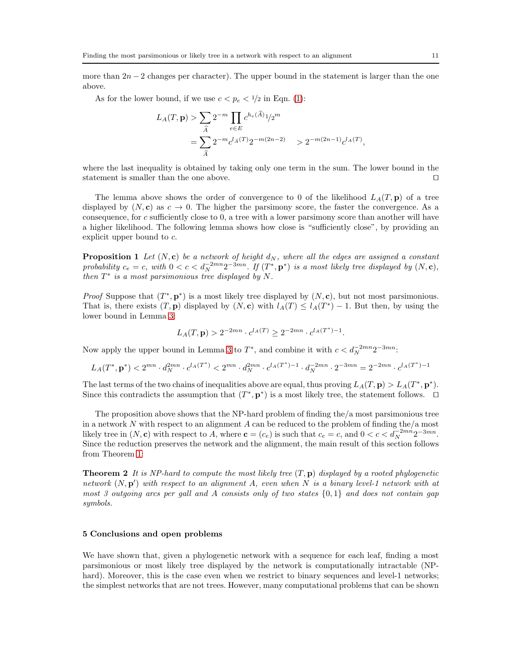more than  $2n-2$  changes per character). The upper bound in the statement is larger than the one above.

As for the lower bound, if we use  $c < p_e < 1/2$  in Eqn. [\(1\)](#page-8-0):

$$
L_A(T, \mathbf{p}) > \sum_{\hat{A}} 2^{-m} \prod_{e \in E} c^{h_e(\hat{A})} 1/2^m
$$
  
= 
$$
\sum_{\hat{A}} 2^{-m} c^{l_{\hat{A}}(T)} 2^{-m(2n-2)} > 2^{-m(2n-1)} c^{l_A(T)},
$$

where the last inequality is obtained by taking only one term in the sum. The lower bound in the statement is smaller than the one above. □

The lemma above shows the order of convergence to 0 of the likelihood  $L<sub>A</sub>(T, \mathbf{p})$  of a tree displayed by  $(N, c)$  as  $c \rightarrow 0$ . The higher the parsimony score, the faster the convergence. As a consequence, for c sufficiently close to 0, a tree with a lower parsimony score than another will have a higher likelihood. The following lemma shows how close is "sufficiently close", by providing an explicit upper bound to c.

**Proposition 1** Let  $(N, c)$  be a network of height  $d_N$ , where all the edges are assigned a constant probability  $c_e = c$ , with  $0 < c < d_N^{-2mn} 2^{-3mn}$ . If  $(T^*, \mathbf{p}^*)$  is a most likely tree displayed by  $(N, \mathbf{c})$ , then  $T^*$  is a most parsimonious tree displayed by N.

*Proof* Suppose that  $(T^*, \mathbf{p}^*)$  is a most likely tree displayed by  $(N, \mathbf{c})$ , but not most parsimonious. That is, there exists  $(T, \mathbf{p})$  displayed by  $(N, \mathbf{c})$  with  $l_A(T) \leq l_A(T^*) - 1$ . But then, by using the lower bound in Lemma [3:](#page-9-1)

$$
L_A(T, \mathbf{p}) > 2^{-2mn} \cdot c^{l_A(T)} \ge 2^{-2mn} \cdot c^{l_A(T^*)-1}.
$$

Now apply the upper bound in Lemma [3](#page-9-1) to  $T^*$ , and combine it with  $c < d_N^{-2mn}2^{-3mn}$ .

$$
L_A(T^*, \mathbf{p}^*) < 2^{mn} \cdot d_N^{2mn} \cdot c^{l_A(T^*)} < 2^{mn} \cdot d_N^{2mn} \cdot c^{l_A(T^*)-1} \cdot d_N^{-2mn} \cdot 2^{-3mn} = 2^{-2mn} \cdot c^{l_A(T^*)-1}
$$

The last terms of the two chains of inequalities above are equal, thus proving  $L_A(T, \mathbf{p}) > L_A(T^*, \mathbf{p}^*).$ Since this contradicts the assumption that  $(T^*, \mathbf{p}^*)$  is a most likely tree, the statement follows. □

The proposition above shows that the NP-hard problem of finding the/a most parsimonious tree in a network  $N$  with respect to an alignment  $A$  can be reduced to the problem of finding the/a most likely tree in  $(N, c)$  with respect to A, where  $c = (c_e)$  is such that  $c_e = c$ , and  $0 < c < d_N^{-2mn}2^{-3mn}$ . Since the reduction preserves the network and the alignment, the main result of this section follows from Theorem [1:](#page-4-3)

**Theorem 2** It is NP-hard to compute the most likely tree  $(T, \mathbf{p})$  displayed by a rooted phylogenetic network  $(N, \mathbf{p}')$  with respect to an alignment A, even when N is a binary level-1 network with at most 3 outgoing arcs per gall and A consists only of two states  $\{0,1\}$  and does not contain gap symbols.

## 5 Conclusions and open problems

We have shown that, given a phylogenetic network with a sequence for each leaf, finding a most parsimonious or most likely tree displayed by the network is computationally intractable (NPhard). Moreover, this is the case even when we restrict to binary sequences and level-1 networks; the simplest networks that are not trees. However, many computational problems that can be shown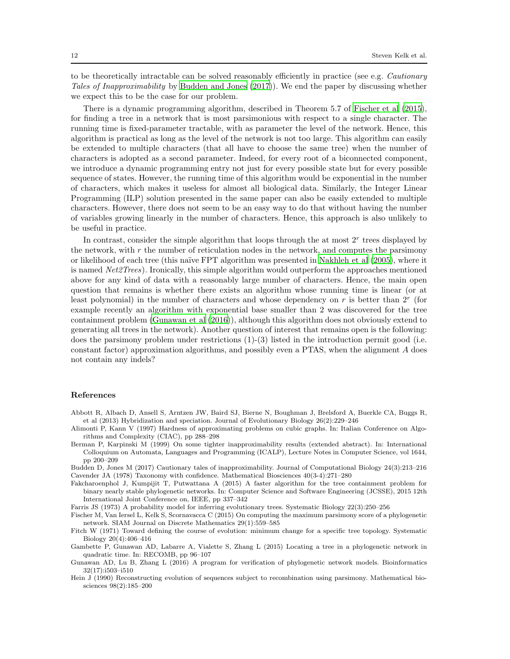to be theoretically intractable can be solved reasonably efficiently in practice (see e.g. Cautionary Tales of Inapproximability by [Budden and Jones \(2017\)](#page-11-8)). We end the paper by discussing whether we expect this to be the case for our problem.

There is a dynamic programming algorithm, described in Theorem 5.7 of [Fischer et al \(2015](#page-11-3)), for finding a tree in a network that is most parsimonious with respect to a single character. The running time is fixed-parameter tractable, with as parameter the level of the network. Hence, this algorithm is practical as long as the level of the network is not too large. This algorithm can easily be extended to multiple characters (that all have to choose the same tree) when the number of characters is adopted as a second parameter. Indeed, for every root of a biconnected component, we introduce a dynamic programming entry not just for every possible state but for every possible sequence of states. However, the running time of this algorithm would be exponential in the number of characters, which makes it useless for almost all biological data. Similarly, the Integer Linear Programming (ILP) solution presented in the same paper can also be easily extended to multiple characters. However, there does not seem to be an easy way to do that without having the number of variables growing linearly in the number of characters. Hence, this approach is also unlikely to be useful in practice.

In contrast, consider the simple algorithm that loops through the at most  $2<sup>r</sup>$  trees displayed by the network, with  $r$  the number of reticulation nodes in the network, and computes the parsimony or likelihood of each tree (this na¨ıve FPT algorithm was presented in [Nakhleh et al \(2005\)](#page-12-9), where it is named Net2Trees). Ironically, this simple algorithm would outperform the approaches mentioned above for any kind of data with a reasonably large number of characters. Hence, the main open question that remains is whether there exists an algorithm whose running time is linear (or at least polynomial) in the number of characters and whose dependency on  $r$  is better than  $2^r$  (for example recently an algorithm with exponential base smaller than 2 was discovered for the tree containment problem [\(Gunawan et al \(2016](#page-11-9))), although this algorithm does not obviously extend to generating all trees in the network). Another question of interest that remains open is the following: does the parsimony problem under restrictions  $(1)-(3)$  listed in the introduction permit good (i.e. constant factor) approximation algorithms, and possibly even a PTAS, when the alignment A does not contain any indels?

#### References

- <span id="page-11-0"></span>Abbott R, Albach D, Ansell S, Arntzen JW, Baird SJ, Bierne N, Boughman J, Brelsford A, Buerkle CA, Buggs R, et al (2013) Hybridization and speciation. Journal of Evolutionary Biology 26(2):229–246
- <span id="page-11-10"></span>Alimonti P, Kann V (1997) Hardness of approximating problems on cubic graphs. In: Italian Conference on Algorithms and Complexity (CIAC), pp 288–298
- <span id="page-11-11"></span>Berman P, Karpinski M (1999) On some tighter inapproximability results (extended abstract). In: International Colloquium on Automata, Languages and Programming (ICALP), Lecture Notes in Computer Science, vol 1644, pp 200–209

<span id="page-11-8"></span>Budden D, Jones M (2017) Cautionary tales of inapproximability. Journal of Computational Biology 24(3):213–216 Cavender JA (1978) Taxonomy with confidence. Mathematical Biosciences 40(3-4):271–280

<span id="page-11-7"></span><span id="page-11-1"></span>Fakcharoenphol J, Kumpijit T, Putwattana A (2015) A faster algorithm for the tree containment problem for binary nearly stable phylogenetic networks. In: Computer Science and Software Engineering (JCSSE), 2015 12th International Joint Conference on, IEEE, pp 337–342

<span id="page-11-6"></span>Farris JS (1973) A probability model for inferring evolutionary trees. Systematic Biology 22(3):250–256

- <span id="page-11-3"></span>Fischer M, Van Iersel L, Kelk S, Scornavacca C (2015) On computing the maximum parsimony score of a phylogenetic network. SIAM Journal on Discrete Mathematics 29(1):559–585
- <span id="page-11-4"></span>Fitch W (1971) Toward defining the course of evolution: minimum change for a specific tree topology. Systematic Biology 20(4):406–416

<span id="page-11-2"></span>Gambette P, Gunawan AD, Labarre A, Vialette S, Zhang L (2015) Locating a tree in a phylogenetic network in quadratic time. In: RECOMB, pp 96–107

<span id="page-11-5"></span>Hein J (1990) Reconstructing evolution of sequences subject to recombination using parsimony. Mathematical biosciences 98(2):185–200

<span id="page-11-9"></span>Gunawan AD, Lu B, Zhang L (2016) A program for verification of phylogenetic network models. Bioinformatics 32(17):i503–i510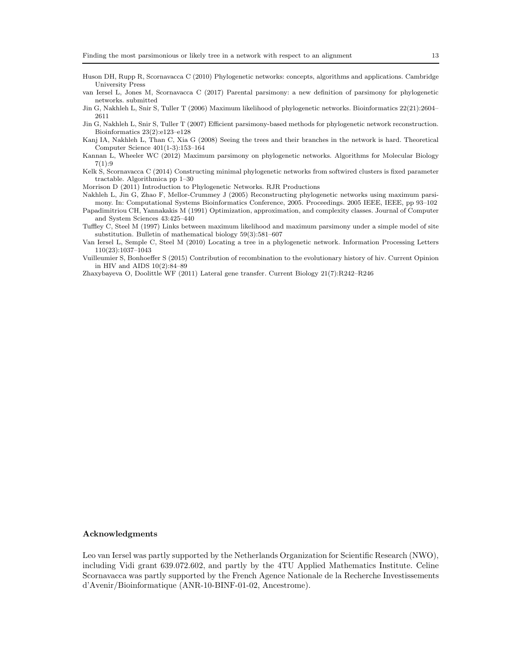- <span id="page-12-0"></span>Huson DH, Rupp R, Scornavacca C (2010) Phylogenetic networks: concepts, algorithms and applications. Cambridge University Press
- <span id="page-12-11"></span>van Iersel L, Jones M, Scornavacca C (2017) Parental parsimony: a new definition of parsimony for phylogenetic networks. submitted
- <span id="page-12-7"></span>Jin G, Nakhleh L, Snir S, Tuller T (2006) Maximum likelihood of phylogenetic networks. Bioinformatics 22(21):2604– 2611
- <span id="page-12-8"></span>Jin G, Nakhleh L, Snir S, Tuller T (2007) Efficient parsimony-based methods for phylogenetic network reconstruction. Bioinformatics 23(2):e123–e128
- <span id="page-12-4"></span>Kanj IA, Nakhleh L, Than C, Xia G (2008) Seeing the trees and their branches in the network is hard. Theoretical Computer Science 401(1-3):153–164
- <span id="page-12-10"></span>Kannan L, Wheeler WC (2012) Maximum parsimony on phylogenetic networks. Algorithms for Molecular Biology  $7(1):9$
- <span id="page-12-6"></span>Kelk S, Scornavacca C (2014) Constructing minimal phylogenetic networks from softwired clusters is fixed parameter tractable. Algorithmica pp 1–30
- <span id="page-12-1"></span>Morrison D (2011) Introduction to Phylogenetic Networks. RJR Productions
- <span id="page-12-9"></span>Nakhleh L, Jin G, Zhao F, Mellor-Crummey J (2005) Reconstructing phylogenetic networks using maximum parsimony. In: Computational Systems Bioinformatics Conference, 2005. Proceedings. 2005 IEEE, IEEE, pp 93–102
- <span id="page-12-12"></span>Papadimitriou CH, Yannakakis M (1991) Optimization, approximation, and complexity classes. Journal of Computer and System Sciences 43:425–440
- <span id="page-12-13"></span>Tuffley C, Steel M (1997) Links between maximum likelihood and maximum parsimony under a simple model of site substitution. Bulletin of mathematical biology 59(3):581–607
- <span id="page-12-5"></span>Van Iersel L, Semple C, Steel M (2010) Locating a tree in a phylogenetic network. Information Processing Letters 110(23):1037–1043
- <span id="page-12-3"></span>Vuilleumier S, Bonhoeffer S (2015) Contribution of recombination to the evolutionary history of hiv. Current Opinion in HIV and AIDS 10(2):84–89
- <span id="page-12-2"></span>Zhaxybayeva O, Doolittle WF (2011) Lateral gene transfer. Current Biology 21(7):R242–R246

#### Acknowledgments

Leo van Iersel was partly supported by the Netherlands Organization for Scientific Research (NWO), including Vidi grant 639.072.602, and partly by the 4TU Applied Mathematics Institute. Celine Scornavacca was partly supported by the French Agence Nationale de la Recherche Investissements d'Avenir/Bioinformatique (ANR-10-BINF-01-02, Ancestrome).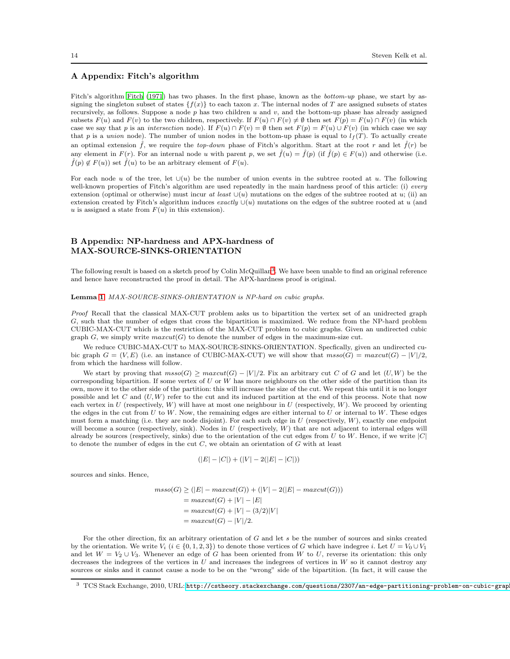## A Appendix: Fitch's algorithm

Fitch's algorithm [Fitch \(1971](#page-11-4)) has two phases. In the first phase, known as the bottom-up phase, we start by assigning the singleton subset of states  $\{f(x)\}\$ to each taxon x. The internal nodes of T are assigned subsets of states recursively, as follows. Suppose a node  $p$  has two children  $u$  and  $v$ , and the bottom-up phase has already assigned subsets  $F(u)$  and  $F(v)$  to the two children, respectively. If  $F(u) \cap F(v) \neq \emptyset$  then set  $F(p) = F(u) \cap F(v)$  (in which case we say that p is an intersection node). If  $F(u) \cap F(v) = \emptyset$  then set  $F(p) = F(u) \cup F(v)$  (in which case we say that p is a union node). The number of union nodes in the bottom-up phase is equal to  $l_f(T)$ . To actually create an optimal extension  $\hat{f}$ , we require the top-down phase of Fitch's algorithm. Start at the root r and let  $\hat{f}(r)$  be any element in  $F(r)$ . For an internal node u with parent p, we set  $\hat{f}(u) = \hat{f}(p)$  (if  $\hat{f}(p) \in F(u)$ ) and otherwise (i.e.  $\hat{f}(p) \notin F(u)$  set  $\hat{f}(u)$  to be an arbitrary element of  $F(u)$ .

For each node u of the tree, let  $\cup(u)$  be the number of union events in the subtree rooted at u. The following well-known properties of Fitch's algorithm are used repeatedly in the main hardness proof of this article: (i) every extension (optimal or otherwise) must incur at least  $\cup(u)$  mutations on the edges of the subtree rooted at u; (ii) an extension created by Fitch's algorithm induces exactly  $\cup(u)$  mutations on the edges of the subtree rooted at u (and u is assigned a state from  $F(u)$  in this extension).

## B Appendix: NP-hardness and APX-hardness of MAX-SOURCE-SINKS-ORIENTATION

The following result is based on a sketch proof by Colin McQuillan<sup>[3](#page-13-0)</sup>. We have been unable to find an original reference and hence have reconstructed the proof in detail. The APX-hardness proof is original.

Lemma [1](#page-4-0). MAX-SOURCE-SINKS-ORIENTATION is NP-hard on cubic graphs.

Proof Recall that the classical MAX-CUT problem asks us to bipartition the vertex set of an unidrected graph G, such that the number of edges that cross the bipartition is maximized. We reduce from the NP-hard problem CUBIC-MAX-CUT which is the restriction of the MAX-CUT problem to cubic graphs. Given an undirected cubic graph G, we simply write  $maxcut(G)$  to denote the number of edges in the maximum-size cut.

We reduce CUBIC-MAX-CUT to MAX-SOURCE-SINKS-ORIENTATION. Specfically, given an undirected cubic graph  $G = (V, E)$  (i.e. an instance of CUBIC-MAX-CUT) we will show that  $mso(G) = maxcut(G) - |V|/2$ , from which the hardness will follow.

We start by proving that  $msso(G) \geq maxcut(G) - |V|/2$ . Fix an arbitrary cut C of G and let  $(U, W)$  be the corresponding bipartition. If some vertex of  $U$  or  $W$  has more neighbours on the other side of the partition than its own, move it to the other side of the partition: this will increase the size of the cut. We repeat this until it is no longer possible and let  $C$  and  $(U, W)$  refer to the cut and its induced partition at the end of this process. Note that now each vertex in  $U$  (respectively,  $W$ ) will have at most one neighbour in  $U$  (respectively,  $W$ ). We proceed by orienting the edges in the cut from  $U$  to  $W$ . Now, the remaining edges are either internal to  $U$  or internal to  $W$ . These edges must form a matching (i.e. they are node disjoint). For each such edge in  $U$  (respectively,  $W$ ), exactly one endpoint will become a source (respectively, sink). Nodes in  $U$  (respectively,  $W$ ) that are not adjacent to internal edges will already be sources (respectively, sinks) due to the orientation of the cut edges from  $U$  to  $W$ . Hence, if we write  $|C|$ to denote the number of edges in the cut  $C$ , we obtain an orientation of  $G$  with at least

$$
(|E| - |C|) + (|V| - 2(|E| - |C|))
$$

sources and sinks. Hence,

 $msso(G) \geq (|E| - maxcut(G)) + (|V| - 2(|E| - maxcut(G)))$  $= maxcut(G) + |V| - |E|$  $= maxcut(G) + |V| - (3/2)|V|$  $= maxcut(G) - |V|/2.$ 

For the other direction, fix an arbitrary orientation of G and let s be the number of sources and sinks created by the orientation. We write  $V_i$  ( $i \in \{0, 1, 2, 3\}$ ) to denote those vertices of G which have indegree i. Let  $U = V_0 \cup V_1$ and let  $W = V_2 \cup V_3$ . Whenever an edge of G has been oriented from W to U, reverse its orientation: this only decreases the indegrees of the vertices in  $U$  and increases the indegrees of vertices in  $W$  so it cannot destroy any sources or sinks and it cannot cause a node to be on the "wrong" side of the bipartition. (In fact, it will cause the

<span id="page-13-0"></span> $^3\,$  TCS Stack Exchange, 2010, URL: <code>http://cstheory.stackexchange.com/questions/2307/an–edge-partitioning-problem-on-cubic-grap</code>